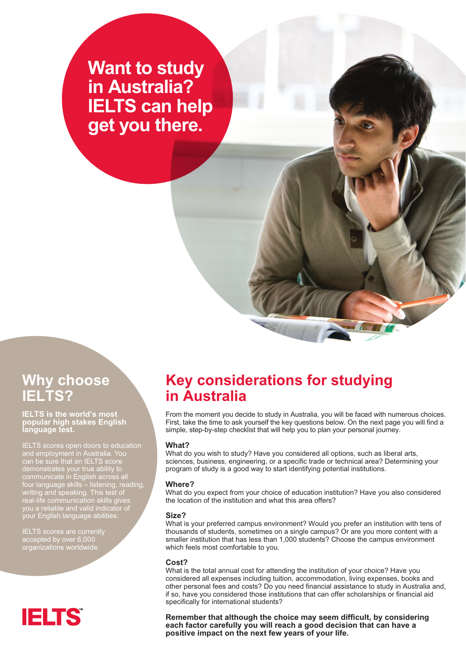# *Want to study in Australia? IELTS can help get you there.*

### *Why choose IELTS?*

#### *IELTS is the world's most popular high stakes English language test.*

*IELTS scores open doors to education can be sure that an IELTS score communicate in English across all four language skills – listening, reading, writing and speaking. This test of real-life communication skills gives you a reliable and valid indicator of your English language abilities.* 

*IELTS scores are currently accepted by over 6,000 organizations worldwide.*

# **IELTS**

### *Key considerations for studying in Australia*

*From the moment you decide to study in Australia, you will be faced with numerous choices. First, take the time to ask yourself the key questions below. On the next page you will find a simple, step-by-step checklist that will help you to plan your personal journey.*

#### *What?*

*What do you wish to study? Have you considered all options, such as liberal arts, sciences, business, engineering, or a specific trade or technical area? Determining your program of study is a good way to start identifying potential institutions.*

#### *Where?*

*What do you expect from your choice of education institution? Have you also considered the location of the institution and what this area offers?*

#### *Size?*

*What is your preferred campus environment? Would you prefer an institution with tens of thousands of students, sometimes on a single campus? Or are you more content with a smaller institution that has less than 1,000 students? Choose the campus environment which feels most comfortable to you.*

#### *Cost?*

*What is the total annual cost for attending the institution of your choice? Have you considered all expenses including tuition, accommodation, living expenses, books and other personal fees and costs? Do you need financial assistance to study in Australia and, if so, have you considered those institutions that can offer scholarships or financial aid specifically for international students?*

*Remember that although the choice may seem difficult, by considering each factor carefully you will reach a good decision that can have a positive impact on the next few years of your life.*